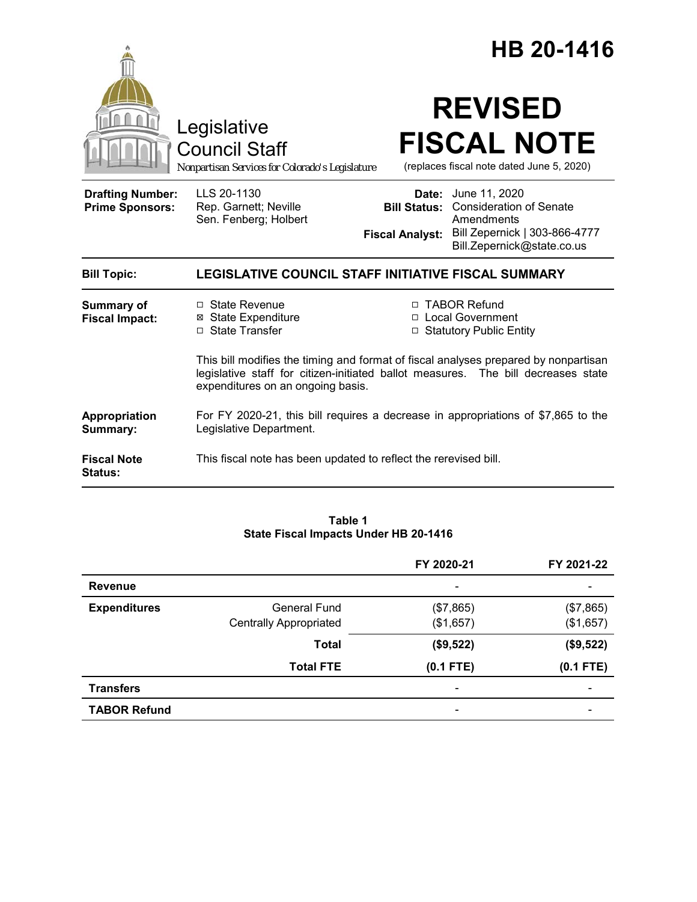|                                                   | Legislative<br><b>Council Staff</b><br>Nonpartisan Services for Colorado's Legislature                                                                                                                                                                                             |                        | HB 20-1416<br><b>REVISED</b><br><b>FISCAL NOTE</b><br>(replaces fiscal note dated June 5, 2020)                                                 |  |
|---------------------------------------------------|------------------------------------------------------------------------------------------------------------------------------------------------------------------------------------------------------------------------------------------------------------------------------------|------------------------|-------------------------------------------------------------------------------------------------------------------------------------------------|--|
| <b>Drafting Number:</b><br><b>Prime Sponsors:</b> | LLS 20-1130<br>Rep. Garnett; Neville<br>Sen. Fenberg; Holbert                                                                                                                                                                                                                      | <b>Fiscal Analyst:</b> | Date: June 11, 2020<br><b>Bill Status:</b> Consideration of Senate<br>Amendments<br>Bill Zepernick   303-866-4777<br>Bill.Zepernick@state.co.us |  |
| <b>Bill Topic:</b>                                | LEGISLATIVE COUNCIL STAFF INITIATIVE FISCAL SUMMARY                                                                                                                                                                                                                                |                        |                                                                                                                                                 |  |
| <b>Summary of</b><br><b>Fiscal Impact:</b>        | □ State Revenue<br><b>⊠</b> State Expenditure<br>□ State Transfer<br>This bill modifies the timing and format of fiscal analyses prepared by nonpartisan<br>legislative staff for citizen-initiated ballot measures. The bill decreases state<br>expenditures on an ongoing basis. |                        | □ TABOR Refund<br>□ Local Government<br>□ Statutory Public Entity                                                                               |  |
| Appropriation<br>Summary:                         | For FY 2020-21, this bill requires a decrease in appropriations of \$7,865 to the<br>Legislative Department.                                                                                                                                                                       |                        |                                                                                                                                                 |  |
| <b>Fiscal Note</b><br>Status:                     | This fiscal note has been updated to reflect the rerevised bill.                                                                                                                                                                                                                   |                        |                                                                                                                                                 |  |

#### **Table 1 State Fiscal Impacts Under HB 20-1416**

|                     |                               | FY 2020-21               | FY 2021-22  |
|---------------------|-------------------------------|--------------------------|-------------|
| <b>Revenue</b>      |                               | $\overline{\phantom{a}}$ |             |
| <b>Expenditures</b> | General Fund                  | (\$7,865)                | (\$7,865)   |
|                     | <b>Centrally Appropriated</b> | (\$1,657)                | (\$1,657)   |
|                     | <b>Total</b>                  | (\$9,522)                | (\$9,522)   |
|                     | <b>Total FTE</b>              | $(0.1$ FTE)              | $(0.1$ FTE) |
| <b>Transfers</b>    |                               | $\qquad \qquad$          |             |
| <b>TABOR Refund</b> |                               | $\qquad \qquad$          |             |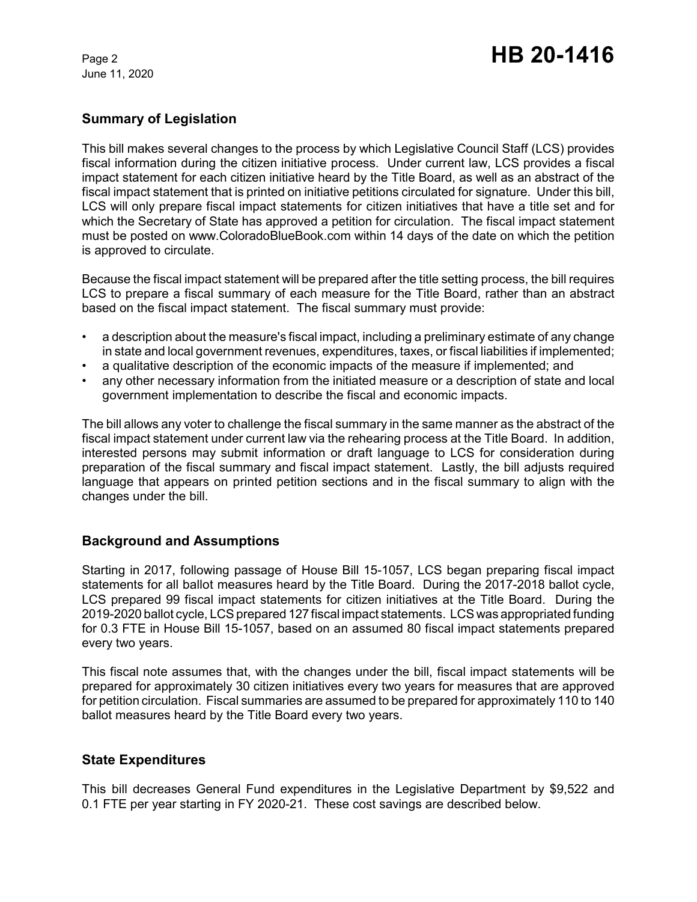June 11, 2020

# Page 2 **HB 20-1416**

## **Summary of Legislation**

This bill makes several changes to the process by which Legislative Council Staff (LCS) provides fiscal information during the citizen initiative process. Under current law, LCS provides a fiscal impact statement for each citizen initiative heard by the Title Board, as well as an abstract of the fiscal impact statement that is printed on initiative petitions circulated for signature. Under this bill, LCS will only prepare fiscal impact statements for citizen initiatives that have a title set and for which the Secretary of State has approved a petition for circulation. The fiscal impact statement must be posted on www.ColoradoBlueBook.com within 14 days of the date on which the petition is approved to circulate.

Because the fiscal impact statement will be prepared after the title setting process, the bill requires LCS to prepare a fiscal summary of each measure for the Title Board, rather than an abstract based on the fiscal impact statement. The fiscal summary must provide:

- a description about the measure's fiscal impact, including a preliminary estimate of any change in state and local government revenues, expenditures, taxes, or fiscal liabilities if implemented;
- a qualitative description of the economic impacts of the measure if implemented; and
- any other necessary information from the initiated measure or a description of state and local government implementation to describe the fiscal and economic impacts.

The bill allows any voter to challenge the fiscal summary in the same manner as the abstract of the fiscal impact statement under current law via the rehearing process at the Title Board. In addition, interested persons may submit information or draft language to LCS for consideration during preparation of the fiscal summary and fiscal impact statement. Lastly, the bill adjusts required language that appears on printed petition sections and in the fiscal summary to align with the changes under the bill.

## **Background and Assumptions**

Starting in 2017, following passage of House Bill 15-1057, LCS began preparing fiscal impact statements for all ballot measures heard by the Title Board. During the 2017-2018 ballot cycle, LCS prepared 99 fiscal impact statements for citizen initiatives at the Title Board. During the 2019-2020 ballot cycle, LCS prepared 127 fiscal impact statements. LCS was appropriated funding for 0.3 FTE in House Bill 15-1057, based on an assumed 80 fiscal impact statements prepared every two years.

This fiscal note assumes that, with the changes under the bill, fiscal impact statements will be prepared for approximately 30 citizen initiatives every two years for measures that are approved for petition circulation. Fiscal summaries are assumed to be prepared for approximately 110 to 140 ballot measures heard by the Title Board every two years.

## **State Expenditures**

This bill decreases General Fund expenditures in the Legislative Department by \$9,522 and 0.1 FTE per year starting in FY 2020-21. These cost savings are described below.